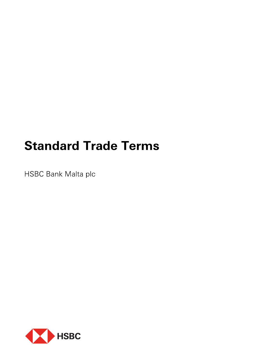# **Standard Trade Terms**

HSBC Bank Malta plc

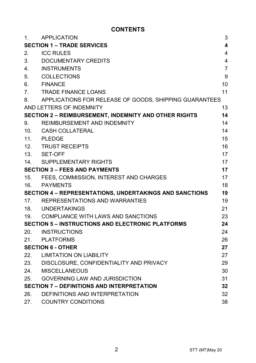## **CONTENTS**

| 1.                                                      | <b>APPLICATION</b>                                           | 3              |
|---------------------------------------------------------|--------------------------------------------------------------|----------------|
| <b>SECTION 1 - TRADE SERVICES</b>                       |                                                              | 4              |
| 2.                                                      | <b>ICC RULES</b>                                             | 4              |
| 3.                                                      | DOCUMENTARY CREDITS                                          | 4              |
| 4.                                                      | <b>INSTRUMENTS</b>                                           | $\overline{7}$ |
| 5.                                                      | <b>COLLECTIONS</b>                                           | 9              |
| 6.                                                      | <b>FINANCE</b>                                               | 10             |
| 7.                                                      | <b>TRADE FINANCE LOANS</b>                                   | 11             |
| 8.                                                      | APPLICATIONS FOR RELEASE OF GOODS, SHIPPING GUARANTEES       |                |
|                                                         | AND LETTERS OF INDEMNITY                                     | 13             |
|                                                         | <b>SECTION 2 - REIMBURSEMENT, INDEMNITY AND OTHER RIGHTS</b> | 14             |
| 9.                                                      | REIMBURSEMENT AND INDEMNITY                                  | 14             |
| 10.                                                     | <b>CASH COLLATERAL</b>                                       | 14             |
| 11.                                                     | PLEDGE                                                       | 15             |
| 12.                                                     | <b>TRUST RECEIPTS</b>                                        | 16             |
| 13.                                                     | SET-OFF                                                      | 17             |
| 14.                                                     | <b>SUPPLEMENTARY RIGHTS</b>                                  | 17             |
| <b>SECTION 3 - FEES AND PAYMENTS</b>                    |                                                              | 17             |
| 15.                                                     | FEES, COMMISSION, INTEREST AND CHARGES                       | 17             |
| 16.                                                     | <b>PAYMENTS</b>                                              | 18             |
| SECTION 4 - REPRESENTATIONS, UNDERTAKINGS AND SANCTIONS |                                                              | 19             |
| 17.                                                     | REPRESENTATIONS AND WARRANTIES                               | 19             |
|                                                         | 18. UNDERTAKINGS                                             | 21             |
| 19.                                                     | COMPLIANCE WITH LAWS AND SANCTIONS                           | 23             |
|                                                         | <b>SECTION 5 - INSTRUCTIONS AND ELECTRONIC PLATFORMS</b>     | 24             |
| 20.                                                     | INSTRUCTIONS                                                 | 24             |
| 21.                                                     | PLATFORMS                                                    | 26             |
|                                                         | <b>SECTION 6 - OTHER</b>                                     | 27             |
| 22.                                                     | LIMITATION ON LIABILITY                                      | 27             |
| 23.                                                     | DISCLOSURE, CONFIDENTIALITY AND PRIVACY                      | 29             |
| 24.                                                     | <b>MISCELLANEOUS</b>                                         | 30             |
| 25.                                                     | <b>GOVERNING LAW AND JURISDICTION</b>                        | 31             |
|                                                         | <b>SECTION 7 - DEFINITIONS AND INTERPRETATION</b>            | 32             |
| 26.                                                     | DEFINITIONS AND INTERPRETATION                               | 32             |
| 27.                                                     | <b>COUNTRY CONDITIONS</b>                                    | 38             |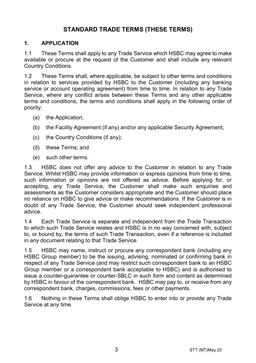## STANDARD TRADE TERMS (THESE TERMS)

## 1. APPLICATION

1.1 These Terms shall apply to any Trade Service which HSBC may agree to make available or procure at the request of the Customer and shall include any relevant Country Conditions.

1.2 These Terms shall, where applicable, be subject to other terms and conditions in relation to services provided by HSBC to the Customer (including any banking service or account operating agreement) from time to time. In relation to any Trade Service, where any conflict arises between these Terms and any other applicable terms and conditions, the terms and conditions shall apply in the following order of priority:

- (a) the Application;
- (b) the Facility Agreement (if any) and/or any applicable Security Agreement;
- (c) the Country Conditions (if any);
- (d) these Terms; and
- (e) such other terms.

1.3 HSBC does not offer any advice to the Customer in relation to any Trade Service. Whilst HSBC may provide information or express opinions from time to time, such information or opinions are not offered as advice. Before applying for, or accepting, any Trade Service, the Customer shall make such enquiries and assessments as the Customer considers appropriate and the Customer should place no reliance on HSBC to give advice or make recommendations. If the Customer is in doubt of any Trade Service, the Customer should seek independent professional advice.

1.4 Each Trade Service is separate and independent from the Trade Transaction to which such Trade Service relates and HSBC is in no way concerned with, subject to, or bound by, the terms of such Trade Transaction, even if a reference is included in any document relating to that Trade Service.

1.5 HSBC may name, instruct or procure any correspondent bank (including any HSBC Group member) to be the issuing, advising, nominated or confirming bank in respect of any Trade Service (and may restrict such correspondent bank to an HSBC Group member or a correspondent bank acceptable to HSBC) and is authorised to issue a counter-guarantee or counter-SBLC in such form and content as determined by HSBC in favour of the correspondent bank. HSBC may pay to, or receive from any correspondent bank, charges, commissions, fees or other payments.

1.6 Nothing in these Terms shall oblige HSBC to enter into or provide any Trade Service at any time.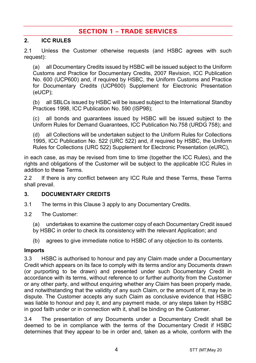## **SECTION 1 - TRADE SERVICES**

## 2. ICC RULES

2.1 Unless the Customer otherwise requests (and HSBC agrees with such request):

(a) all Documentary Credits issued by HSBC will be issued subject to the Uniform Customs and Practice for Documentary Credits, 2007 Revision, ICC Publication No. 600 (UCP600) and, if required by HSBC, the Uniform Customs and Practice for Documentary Credits (UCP600) Supplement for Electronic Presentation (eUCP);

(b) all SBLCs issued by HSBC will be issued subject to the International Standby Practices 1998, ICC Publication No. 590 (ISP98);

(c) all bonds and guarantees issued by HSBC will be issued subject to the Uniform Rules for Demand Guarantees, ICC Publication No.758 (URDG 758); and

(d) all Collections will be undertaken subject to the Uniform Rules for Collections 1995, ICC Publication No. 522 (URC 522) and, if required by HSBC, the Uniform Rules for Collections (URC 522) Supplement for Electronic Presentation (eURC),

in each case, as may be revised from time to time (together the ICC Rules), and the rights and obligations of the Customer will be subject to the applicable ICC Rules in addition to these Terms.

2.2 If there is any conflict between any ICC Rule and these Terms, these Terms shall prevail.

## 3. DOCUMENTARY CREDITS

- 3.1 The terms in this Clause 3 apply to any Documentary Credits.
- 3.2 The Customer:
	- (a) undertakes to examine the customer copy of each Documentary Credit issued by HSBC in order to check its consistency with the relevant Application; and
	- (b) agrees to give immediate notice to HSBC of any objection to its contents.

#### Imports

3.3 HSBC is authorised to honour and pay any Claim made under a Documentary Credit which appears on its face to comply with its terms and/or any Documents drawn (or purporting to be drawn) and presented under such Documentary Credit in accordance with its terms, without reference to or further authority from the Customer or any other party, and without enquiring whether any Claim has been properly made, and notwithstanding that the validity of any such Claim, or the amount of it, may be in dispute. The Customer accepts any such Claim as conclusive evidence that HSBC was liable to honour and pay it, and any payment made, or any steps taken by HSBC in good faith under or in connection with it, shall be binding on the Customer.

3.4 The presentation of any Documents under a Documentary Credit shall be deemed to be in compliance with the terms of the Documentary Credit if HSBC determines that they appear to be in order and, taken as a whole, conform with the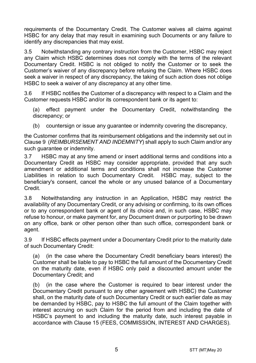requirements of the Documentary Credit. The Customer waives all claims against HSBC for any delay that may result in examining such Documents or any failure to identify any discrepancies that may exist.

3.5 Notwithstanding any contrary instruction from the Customer, HSBC may reject any Claim which HSBC determines does not comply with the terms of the relevant Documentary Credit. HSBC is not obliged to notify the Customer or to seek the Customer's waiver of any discrepancy before refusing the Claim. Where HSBC does seek a waiver in respect of any discrepancy, the taking of such action does not oblige HSBC to seek a waiver of any discrepancy at any other time.

3.6 If HSBC notifies the Customer of a discrepancy with respect to a Claim and the Customer requests HSBC and/or its correspondent bank or its agent to:

(a) effect payment under the Documentary Credit, notwithstanding the discrepancy; or

(b) countersign or issue any quarantee or indemnity covering the discrepancy,

the Customer confirms that its reimbursement obligations and the indemnity set out in Clause 9 (REIMBURSEMENT AND INDEMNITY) shall apply to such Claim and/or any such guarantee or indemnity.

3.7 HSBC may at any time amend or insert additional terms and conditions into a Documentary Credit as HSBC may consider appropriate, provided that any such amendment or additional terms and conditions shall not increase the Customer Liabilities in relation to such Documentary Credit. HSBC may, subject to the beneficiary's consent, cancel the whole or any unused balance of a Documentary Credit.

3.8 Notwithstanding any instruction in an Application, HSBC may restrict the availability of any Documentary Credit, or any advising or confirming, to its own offices or to any correspondent bank or agent of its choice and, in such case, HSBC may refuse to honour, or make payment for, any Document drawn or purporting to be drawn on any office, bank or other person other than such office, correspondent bank or agent.

3.9 If HSBC effects payment under a Documentary Credit prior to the maturity date of such Documentary Credit:

(a) (in the case where the Documentary Credit beneficiary bears interest) the Customer shall be liable to pay to HSBC the full amount of the Documentary Credit on the maturity date, even if HSBC only paid a discounted amount under the Documentary Credit; and

(b) (in the case where the Customer is required to bear interest under the Documentary Credit pursuant to any other agreement with HSBC) the Customer shall, on the maturity date of such Documentary Credit or such earlier date as may be demanded by HSBC, pay to HSBC the full amount of the Claim together with interest accruing on such Claim for the period from and including the date of HSBC's payment to and including the maturity date, such interest payable in accordance with Clause 15 (FEES, COMMISSION, INTEREST AND CHARGES).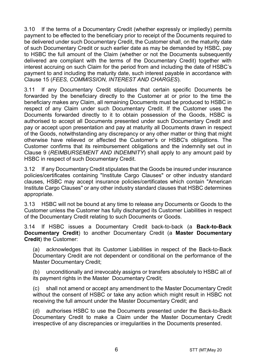3.10 If the terms of a Documentary Credit (whether expressly or impliedly) permits payment to be effected to the beneficiary prior to receipt of the Documents required to be delivered under such Documentary Credit, the Customer shall, on the maturity date of such Documentary Credit or such earlier date as may be demanded by HSBC, pay to HSBC the full amount of the Claim (whether or not the Documents subsequently delivered are compliant with the terms of the Documentary Credit) together with interest accruing on such Claim for the period from and including the date of HSBC's payment to and including the maturity date, such interest payable in accordance with Clause 15 (FEES, COMMISSION, INTEREST AND CHARGES).

3.11 If any Documentary Credit stipulates that certain specific Documents be forwarded by the beneficiary directly to the Customer at or prior to the time the beneficiary makes any Claim, all remaining Documents must be produced to HSBC in respect of any Claim under such Documentary Credit. If the Customer uses the Documents forwarded directly to it to obtain possession of the Goods, HSBC is authorised to accept all Documents presented under such Documentary Credit and pay or accept upon presentation and pay at maturity all Documents drawn in respect of the Goods, notwithstanding any discrepancy or any other matter or thing that might otherwise have relieved or affected the Customer's or HSBC's obligations. The Customer confirms that its reimbursement obligations and the indemnity set out in Clause 9 (REIMBURSEMENT AND INDEMNITY) shall apply to any amount paid by HSBC in respect of such Documentary Credit.

3.12 If any Documentary Credit stipulates that the Goods be insured under insurance policies/certificates containing "Institute Cargo Clauses" or other industry standard clauses, HSBC may accept insurance policies/certificates which contain "American Institute Cargo Clauses" or any other industry standard clauses that HSBC determines appropriate.

3.13 HSBC will not be bound at any time to release any Documents or Goods to the Customer unless the Customer has fully discharged its Customer Liabilities in respect of the Documentary Credit relating to such Documents or Goods.

3.14 If HSBC issues a Documentary Credit back-to-back (a Back-to-Back Documentary Credit) to another Documentary Credit (a Master Documentary Credit) the Customer:

(a) acknowledges that its Customer Liabilities in respect of the Back-to-Back Documentary Credit are not dependent or conditional on the performance of the Master Documentary Credit;

(b) unconditionally and irrevocably assigns or transfers absolutely to HSBC all of its payment rights in the Master Documentary Credit;

(c) shall not amend or accept any amendment to the Master Documentary Credit without the consent of HSBC or take any action which might result in HSBC not receiving the full amount under the Master Documentary Credit; and

(d) authorises HSBC to use the Documents presented under the Back-to-Back Documentary Credit to make a Claim under the Master Documentary Credit irrespective of any discrepancies or irregularities in the Documents presented.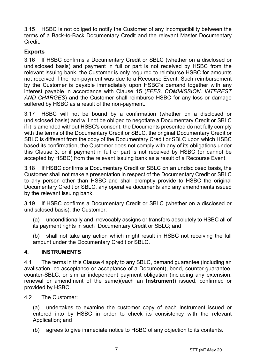3.15 HSBC is not obliged to notify the Customer of any incompatibility between the terms of a Back-to-Back Documentary Credit and the relevant Master Documentary Credit.

## **Exports**

3.16 If HSBC confirms a Documentary Credit or SBLC (whether on a disclosed or undisclosed basis) and payment in full or part is not received by HSBC from the relevant issuing bank, the Customer is only required to reimburse HSBC for amounts not received if the non-payment was due to a Recourse Event. Such reimbursement by the Customer is payable immediately upon HSBC's demand together with any interest payable in accordance with Clause 15 (FEES, COMMISSION, INTEREST AND CHARGES) and the Customer shall reimburse HSBC for any loss or damage suffered by HSBC as a result of the non-payment.

3.17 HSBC will not be bound by a confirmation (whether on a disclosed or undisclosed basis) and will not be obliged to negotiate a Documentary Credit or SBLC if it is amended without HSBC's consent, the Documents presented do not fully comply with the terms of the Documentary Credit or SBLC, the original Documentary Credit or SBLC is different from the copy of the Documentary Credit or SBLC upon which HSBC based its confirmation, the Customer does not comply with any of its obligations under this Clause 3, or if payment in full or part is not received by HSBC (or cannot be accepted by HSBC) from the relevant issuing bank as a result of a Recourse Event.

3.18 If HSBC confirms a Documentary Credit or SBLC on an undisclosed basis, the Customer shall not make a presentation in respect of the Documentary Credit or SBLC to any person other than HSBC and shall promptly provide to HSBC the original Documentary Credit or SBLC, any operative documents and any amendments issued by the relevant issuing bank.

3.19 If HSBC confirms a Documentary Credit or SBLC (whether on a disclosed or undisclosed basis), the Customer:

(a) unconditionally and irrevocably assigns or transfers absolutely to HSBC all of its payment rights in such Documentary Credit or SBLC; and

(b) shall not take any action which might result in HSBC not receiving the full amount under the Documentary Credit or SBLC.

## 4. INSTRUMENTS

4.1 The terms in this Clause 4 apply to any SBLC, demand guarantee (including an avalisation, co-acceptance or acceptance of a Document), bond, counter-guarantee, counter-SBLC, or similar independent payment obligation (including any extension, renewal or amendment of the same)(each an Instrument) issued, confirmed or provided by HSBC.

4.2 The Customer:

(a) undertakes to examine the customer copy of each Instrument issued or entered into by HSBC in order to check its consistency with the relevant Application; and

(b) agrees to give immediate notice to HSBC of any objection to its contents.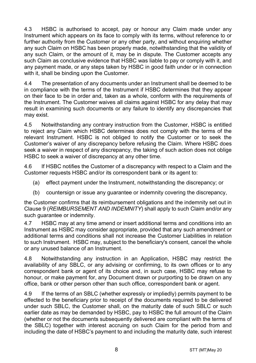4.3 HSBC is authorised to accept, pay or honour any Claim made under any Instrument which appears on its face to comply with its terms, without reference to or further authority from the Customer or any other party, and without enquiring whether any such Claim on HSBC has been properly made, notwithstanding that the validity of any such Claim, or the amount of it, may be in dispute. The Customer accepts any such Claim as conclusive evidence that HSBC was liable to pay or comply with it, and any payment made, or any steps taken by HSBC in good faith under or in connection with it, shall be binding upon the Customer.

4.4 The presentation of any documents under an Instrument shall be deemed to be in compliance with the terms of the Instrument if HSBC determines that they appear on their face to be in order and, taken as a whole, conform with the requirements of the Instrument. The Customer waives all claims against HSBC for any delay that may result in examining such documents or any failure to identify any discrepancies that may exist.

4.5 Notwithstanding any contrary instruction from the Customer, HSBC is entitled to reject any Claim which HSBC determines does not comply with the terms of the relevant Instrument. HSBC is not obliged to notify the Customer or to seek the Customer's waiver of any discrepancy before refusing the Claim. Where HSBC does seek a waiver in respect of any discrepancy, the taking of such action does not oblige HSBC to seek a waiver of discrepancy at any other time.

4.6 If HSBC notifies the Customer of a discrepancy with respect to a Claim and the Customer requests HSBC and/or its correspondent bank or its agent to:

- (a) effect payment under the Instrument, notwithstanding the discrepancy; or
- (b) countersign or issue any guarantee or indemnity covering the discrepancy,

the Customer confirms that its reimbursement obligations and the indemnity set out in Clause 9 (REIMBURSEMENT AND INDEMNITY) shall apply to such Claim and/or any such quarantee or indemnity.

4.7 HSBC may at any time amend or insert additional terms and conditions into an Instrument as HSBC may consider appropriate, provided that any such amendment or additional terms and conditions shall not increase the Customer Liabilities in relation to such Instrument. HSBC may, subject to the beneficiary's consent, cancel the whole or any unused balance of an Instrument.

4.8 Notwithstanding any instruction in an Application, HSBC may restrict the availability of any SBLC, or any advising or confirming, to its own offices or to any correspondent bank or agent of its choice and, in such case, HSBC may refuse to honour, or make payment for, any Document drawn or purporting to be drawn on any office, bank or other person other than such office, correspondent bank or agent.

4.9 If the terms of an SBLC (whether expressly or impliedly) permits payment to be effected to the beneficiary prior to receipt of the documents required to be delivered under such SBLC, the Customer shall, on the maturity date of such SBLC or such earlier date as may be demanded by HSBC, pay to HSBC the full amount of the Claim (whether or not the documents subsequently delivered are compliant with the terms of the SBLC) together with interest accruing on such Claim for the period from and including the date of HSBC's payment to and including the maturity date, such interest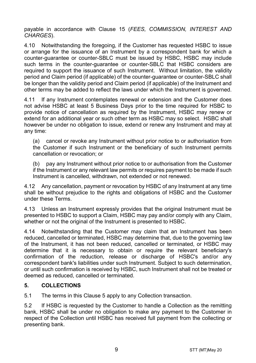payable in accordance with Clause 15 (FEES, COMMISSION, INTEREST AND CHARGES).

4.10 Notwithstanding the foregoing, if the Customer has requested HSBC to issue or arrange for the issuance of an Instrument by a correspondent bank for which a counter-guarantee or counter-SBLC must be issued by HSBC, HSBC may include such terms in the counter-guarantee or counter-SBLC that HSBC considers are required to support the issuance of such Instrument. Without limitation, the validity period and Claim period (if applicable) of the counter-guarantee or counter-SBLC shall be longer than the validity period and Claim period (if applicable) of the Instrument and other terms may be added to reflect the laws under which the Instrument is governed.

4.11 If any Instrument contemplates renewal or extension and the Customer does not advise HSBC at least 5 Business Days prior to the time required for HSBC to provide notice of cancellation as required by the Instrument, HSBC may renew or extend for an additional year or such other term as HSBC may so select. HSBC shall however be under no obligation to issue, extend or renew any Instrument and may at any time:

(a) cancel or revoke any Instrument without prior notice to or authorisation from the Customer if such Instrument or the beneficiary of such Instrument permits cancellation or revocation; or

(b) pay any Instrument without prior notice to or authorisation from the Customer if the Instrument or any relevant law permits or requires payment to be made if such Instrument is cancelled, withdrawn, not extended or not renewed.

4.12 Any cancellation, payment or revocation by HSBC of any Instrument at any time shall be without prejudice to the rights and obligations of HSBC and the Customer under these Terms.

4.13 Unless an Instrument expressly provides that the original Instrument must be presented to HSBC to support a Claim, HSBC may pay and/or comply with any Claim, whether or not the original of the Instrument is presented to HSBC.

4.14 Notwithstanding that the Customer may claim that an Instrument has been reduced, cancelled or terminated, HSBC may determine that, due to the governing law of the Instrument, it has not been reduced, cancelled or terminated, or HSBC may determine that it is necessary to obtain or require the relevant beneficiary's confirmation of the reduction, release or discharge of HSBC's and/or any correspondent bank's liabilities under such Instrument. Subject to such determination, or until such confirmation is received by HSBC, such Instrument shall not be treated or deemed as reduced, cancelled or terminated.

## 5. COLLECTIONS

5.1 The terms in this Clause 5 apply to any Collection transaction.

5.2 If HSBC is requested by the Customer to handle a Collection as the remitting bank, HSBC shall be under no obligation to make any payment to the Customer in respect of the Collection until HSBC has received full payment from the collecting or presenting bank.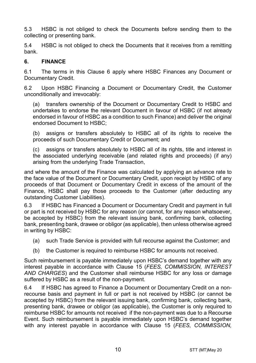5.3 HSBC is not obliged to check the Documents before sending them to the collecting or presenting bank.

5.4 HSBC is not obliged to check the Documents that it receives from a remitting bank.

## 6. FINANCE

6.1 The terms in this Clause 6 apply where HSBC Finances any Document or Documentary Credit.

6.2 Upon HSBC Financing a Document or Documentary Credit, the Customer unconditionally and irrevocably:

(a) transfers ownership of the Document or Documentary Credit to HSBC and undertakes to endorse the relevant Document in favour of HSBC (if not already endorsed in favour of HSBC as a condition to such Finance) and deliver the original endorsed Document to HSBC;

(b) assigns or transfers absolutely to HSBC all of its rights to receive the proceeds of such Documentary Credit or Document; and

(c) assigns or transfers absolutely to HSBC all of its rights, title and interest in the associated underlying receivable (and related rights and proceeds) (if any) arising from the underlying Trade Transaction,

and where the amount of the Finance was calculated by applying an advance rate to the face value of the Document or Documentary Credit, upon receipt by HSBC of any proceeds of that Document or Documentary Credit in excess of the amount of the Finance, HSBC shall pay those proceeds to the Customer (after deducting any outstanding Customer Liabilities).

6.3 If HSBC has Financed a Document or Documentary Credit and payment in full or part is not received by HSBC for any reason (or cannot, for any reason whatsoever, be accepted by HSBC) from the relevant issuing bank, confirming bank, collecting bank, presenting bank, drawee or obligor (as applicable), then unless otherwise agreed in writing by HSBC:

- (a) such Trade Service is provided with full recourse against the Customer; and
- (b) the Customer is required to reimburse HSBC for amounts not received.

Such reimbursement is payable immediately upon HSBC's demand together with any interest payable in accordance with Clause 15 (FEES, COMMISSION, INTEREST AND CHARGES) and the Customer shall reimburse HSBC for any loss or damage suffered by HSBC as a result of the non-payment.

6.4 If HSBC has agreed to Finance a Document or Documentary Credit on a nonrecourse basis and payment in full or part is not received by HSBC (or cannot be accepted by HSBC) from the relevant issuing bank, confirming bank, collecting bank, presenting bank, drawee or obligor (as applicable), the Customer is only required to reimburse HSBC for amounts not received if the non-payment was due to a Recourse Event. Such reimbursement is payable immediately upon HSBC's demand together with any interest payable in accordance with Clause 15 (FEES, COMMISSION,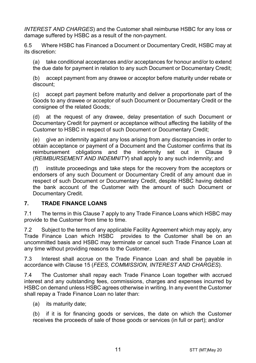INTEREST AND CHARGES) and the Customer shall reimburse HSBC for any loss or damage suffered by HSBC as a result of the non-payment.

6.5 Where HSBC has Financed a Document or Documentary Credit, HSBC may at its discretion:

(a) take conditional acceptances and/or acceptances for honour and/or to extend the due date for payment in relation to any such Document or Documentary Credit;

(b) accept payment from any drawee or acceptor before maturity under rebate or discount;

(c) accept part payment before maturity and deliver a proportionate part of the Goods to any drawee or acceptor of such Document or Documentary Credit or the consignee of the related Goods;

(d) at the request of any drawee, delay presentation of such Document or Documentary Credit for payment or acceptance without affecting the liability of the Customer to HSBC in respect of such Document or Documentary Credit;

(e) give an indemnity against any loss arising from any discrepancies in order to obtain acceptance or payment of a Document and the Customer confirms that its reimbursement obligations and the indemnity set out in Clause 9 (REIMBURSEMENT AND INDEMNITY) shall apply to any such indemnity; and

(f) institute proceedings and take steps for the recovery from the acceptors or endorsers of any such Document or Documentary Credit of any amount due in respect of such Document or Documentary Credit, despite HSBC having debited the bank account of the Customer with the amount of such Document or Documentary Credit.

## 7. TRADE FINANCE LOANS

7.1 The terms in this Clause 7 apply to any Trade Finance Loans which HSBC may provide to the Customer from time to time.

7.2 Subject to the terms of any applicable Facility Agreement which may apply, any Trade Finance Loan which HSBC provides to the Customer shall be on an uncommitted basis and HSBC may terminate or cancel such Trade Finance Loan at any time without providing reasons to the Customer.

7.3 Interest shall accrue on the Trade Finance Loan and shall be payable in accordance with Clause 15 (FEES, COMMISSION, INTEREST AND CHARGES).

7.4 The Customer shall repay each Trade Finance Loan together with accrued interest and any outstanding fees, commissions, charges and expenses incurred by HSBC on demand unless HSBC agrees otherwise in writing. In any event the Customer shall repay a Trade Finance Loan no later than:

(a) its maturity date;

(b) if it is for financing goods or services, the date on which the Customer receives the proceeds of sale of those goods or services (in full or part); and/or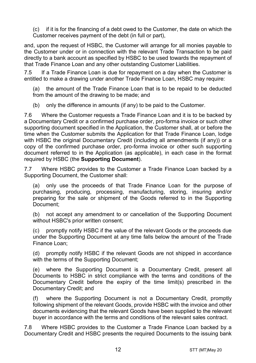(c) if it is for the financing of a debt owed to the Customer, the date on which the Customer receives payment of the debt (in full or part),

and, upon the request of HSBC, the Customer will arrange for all monies payable to the Customer under or in connection with the relevant Trade Transaction to be paid directly to a bank account as specified by HSBC to be used towards the repayment of that Trade Finance Loan and any other outstanding Customer Liabilities.

7.5 If a Trade Finance Loan is due for repayment on a day when the Customer is entitled to make a drawing under another Trade Finance Loan, HSBC may require:

(a) the amount of the Trade Finance Loan that is to be repaid to be deducted from the amount of the drawing to be made; and

(b) only the difference in amounts (if any) to be paid to the Customer.

7.6 Where the Customer requests a Trade Finance Loan and it is to be backed by a Documentary Credit or a confirmed purchase order, pro-forma invoice or such other supporting document specified in the Application, the Customer shall, at or before the time when the Customer submits the Application for that Trade Finance Loan, lodge with HSBC the original Documentary Credit (including all amendments (if any)) or a copy of the confirmed purchase order, pro-forma invoice or other such supporting document referred to in the Application (as applicable), in each case in the format required by HSBC (the Supporting Document).

7.7 Where HSBC provides to the Customer a Trade Finance Loan backed by a Supporting Document, the Customer shall:

(a) only use the proceeds of that Trade Finance Loan for the purpose of purchasing, producing, processing, manufacturing, storing, insuring and/or preparing for the sale or shipment of the Goods referred to in the Supporting Document;

(b) not accept any amendment to or cancellation of the Supporting Document without HSBC's prior written consent;

(c) promptly notify HSBC if the value of the relevant Goods or the proceeds due under the Supporting Document at any time falls below the amount of the Trade Finance Loan;

(d) promptly notify HSBC if the relevant Goods are not shipped in accordance with the terms of the Supporting Document;

(e) where the Supporting Document is a Documentary Credit, present all Documents to HSBC in strict compliance with the terms and conditions of the Documentary Credit before the expiry of the time limit(s) prescribed in the Documentary Credit; and

where the Supporting Document is not a Documentary Credit, promptly following shipment of the relevant Goods, provide HSBC with the invoice and other documents evidencing that the relevant Goods have been supplied to the relevant buyer in accordance with the terms and conditions of the relevant sales contract.

7.8 Where HSBC provides to the Customer a Trade Finance Loan backed by a Documentary Credit and HSBC presents the required Documents to the issuing bank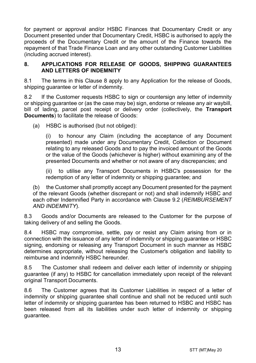for payment or approval and/or HSBC Finances that Documentary Credit or any Document presented under that Documentary Credit, HSBC is authorised to apply the proceeds of the Documentary Credit or the amount of the Finance towards the repayment of that Trade Finance Loan and any other outstanding Customer Liabilities (including accrued interest).

#### 8. APPLICATIONS FOR RELEASE OF GOODS, SHIPPING GUARANTEES AND LETTERS OF INDEMNITY

8.1 The terms in this Clause 8 apply to any Application for the release of Goods, shipping guarantee or letter of indemnity.

8.2 If the Customer requests HSBC to sign or countersign any letter of indemnity or shipping guarantee or (as the case may be) sign, endorse or release any air waybill, bill of lading, parcel post receipt or delivery order (collectively, the **Transport** Documents) to facilitate the release of Goods:

(a) HSBC is authorised (but not obliged):

(i) to honour any Claim (including the acceptance of any Document presented) made under any Documentary Credit, Collection or Document relating to any released Goods and to pay the invoiced amount of the Goods or the value of the Goods (whichever is higher) without examining any of the presented Documents and whether or not aware of any discrepancies; and

(ii) to utilise any Transport Documents in HSBC's possession for the redemption of any letter of indemnity or shipping guarantee; and

(b) the Customer shall promptly accept any Document presented for the payment of the relevant Goods (whether discrepant or not) and shall indemnify HSBC and each other Indemnified Party in accordance with Clause 9.2 (REIMBURSEMENT AND INDEMNITY).

8.3 Goods and/or Documents are released to the Customer for the purpose of taking delivery of and selling the Goods.

8.4 HSBC may compromise, settle, pay or resist any Claim arising from or in connection with the issuance of any letter of indemnity or shipping guarantee or HSBC signing, endorsing or releasing any Transport Document in such manner as HSBC determines appropriate, without releasing the Customer's obligation and liability to reimburse and indemnify HSBC hereunder.

8.5 The Customer shall redeem and deliver each letter of indemnity or shipping guarantee (if any) to HSBC for cancellation immediately upon receipt of the relevant original Transport Documents.

8.6 The Customer agrees that its Customer Liabilities in respect of a letter of indemnity or shipping guarantee shall continue and shall not be reduced until such letter of indemnity or shipping guarantee has been returned to HSBC and HSBC has been released from all its liabilities under such letter of indemnity or shipping guarantee.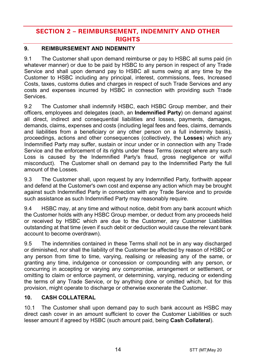# **SECTION 2 - REIMBURSEMENT, INDEMNITY AND OTHER RIGHTS**

## 9. REIMBURSEMENT AND INDEMNITY

9.1 The Customer shall upon demand reimburse or pay to HSBC all sums paid (in whatever manner) or due to be paid by HSBC to any person in respect of any Trade Service and shall upon demand pay to HSBC all sums owing at any time by the Customer to HSBC including any principal, interest, commissions, fees, Increased Costs, taxes, customs duties and charges in respect of such Trade Services and any costs and expenses incurred by HSBC in connection with providing such Trade Services.

9.2 The Customer shall indemnify HSBC, each HSBC Group member, and their officers, employees and delegates (each, an Indemnified Party) on demand against all direct, indirect and consequential liabilities and losses, payments, damages, demands, claims, expenses and costs (including legal fees and fees, claims, demands and liabilities from a beneficiary or any other person on a full indemnity basis), proceedings, actions and other consequences (collectively, the Losses) which any Indemnified Party may suffer, sustain or incur under or in connection with any Trade Service and the enforcement of its rights under these Terms (except where any such Loss is caused by the Indemnified Party's fraud, gross negligence or wilful misconduct). The Customer shall on demand pay to the Indemnified Party the full amount of the Losses.

9.3 The Customer shall, upon request by any Indemnified Party, forthwith appear and defend at the Customer's own cost and expense any action which may be brought against such Indemnified Party in connection with any Trade Service and to provide such assistance as such Indemnified Party may reasonably require.

9.4 HSBC may, at any time and without notice, debit from any bank account which the Customer holds with any HSBC Group member, or deduct from any proceeds held or received by HSBC which are due to the Customer, any Customer Liabilities outstanding at that time (even if such debit or deduction would cause the relevant bank account to become overdrawn).

9.5 The indemnities contained in these Terms shall not be in any way discharged or diminished, nor shall the liability of the Customer be affected by reason of HSBC or any person from time to time, varying, realising or releasing any of the same, or granting any time, indulgence or concession or compounding with any person, or concurring in accepting or varying any compromise, arrangement or settlement, or omitting to claim or enforce payment, or determining, varying, reducing or extending the terms of any Trade Service, or by anything done or omitted which, but for this provision, might operate to discharge or otherwise exonerate the Customer.

## 10. CASH COLLATERAL

10.1 The Customer shall upon demand pay to such bank account as HSBC may direct cash cover in an amount sufficient to cover the Customer Liabilities or such lesser amount if agreed by HSBC (such amount paid, being Cash Collateral).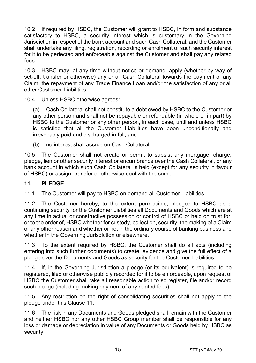10.2 If required by HSBC, the Customer will grant to HSBC, in form and substance satisfactory to HSBC, a security interest which is customary in the Governing Jurisdiction in respect of the bank account and such Cash Collateral, and the Customer shall undertake any filing, registration, recording or enrolment of such security interest for it to be perfected and enforceable against the Customer and shall pay any related fees.

10.3 HSBC may, at any time without notice or demand, apply (whether by way of set-off, transfer or otherwise) any or all Cash Collateral towards the payment of any Claim, the repayment of any Trade Finance Loan and/or the satisfaction of any or all other Customer Liabilities.

10.4 Unless HSBC otherwise agrees:

(a) Cash Collateral shall not constitute a debt owed by HSBC to the Customer or any other person and shall not be repayable or refundable (in whole or in part) by HSBC to the Customer or any other person, in each case, until and unless HSBC is satisfied that all the Customer Liabilities have been unconditionally and irrevocably paid and discharged in full; and

(b) no interest shall accrue on Cash Collateral.

10.5 The Customer shall not create or permit to subsist any mortgage, charge, pledge, lien or other security interest or encumbrance over the Cash Collateral, or any bank account in which such Cash Collateral is held (except for any security in favour of HSBC) or assign, transfer or otherwise deal with the same.

#### 11. PLEDGE

11.1 The Customer will pay to HSBC on demand all Customer Liabilities.

11.2 The Customer hereby, to the extent permissible, pledges to HSBC as a continuing security for the Customer Liabilities all Documents and Goods which are at any time in actual or constructive possession or control of HSBC or held on trust for, or to the order of, HSBC whether for custody, collection, security, the making of a Claim or any other reason and whether or not in the ordinary course of banking business and whether in the Governing Jurisdiction or elsewhere.

11.3 To the extent required by HSBC, the Customer shall do all acts (including entering into such further documents) to create, evidence and give the full effect of a pledge over the Documents and Goods as security for the Customer Liabilities.

11.4 If, in the Governing Jurisdiction a pledge (or its equivalent) is required to be registered, filed or otherwise publicly recorded for it to be enforceable, upon request of HSBC the Customer shall take all reasonable action to so register, file and/or record such pledge (including making payment of any related fees).

11.5 Any restriction on the right of consolidating securities shall not apply to the pledge under this Clause 11.

11.6 The risk in any Documents and Goods pledged shall remain with the Customer and neither HSBC nor any other HSBC Group member shall be responsible for any loss or damage or depreciation in value of any Documents or Goods held by HSBC as security.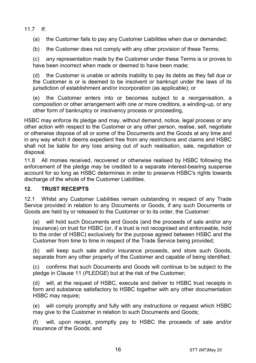11.7 If:

(a) the Customer fails to pay any Customer Liabilities when due or demanded;

(b) the Customer does not comply with any other provision of these Terms;

(c) any representation made by the Customer under these Terms is or proves to have been incorrect when made or deemed to have been made:

(d) the Customer is unable or admits inability to pay its debts as they fall due or the Customer is or is deemed to be insolvent or bankrupt under the laws of its jurisdiction of establishment and/or incorporation (as applicable); or

(e) the Customer enters into or becomes subject to a reorganisation, a composition or other arrangement with one or more creditors, a winding-up, or any other form of bankruptcy or insolvency process or proceeding,

HSBC may enforce its pledge and may, without demand, notice, legal process or any other action with respect to the Customer or any other person, realise, sell, negotiate or otherwise dispose of all or some of the Documents and the Goods at any time and in any way which it deems expedient free from any restrictions and claims and HSBC shall not be liable for any loss arising out of such realisation, sale, negotiation or disposal.

11.8 All monies received, recovered or otherwise realised by HSBC following the enforcement of the pledge may be credited to a separate interest-bearing suspense account for so long as HSBC determines in order to preserve HSBC's rights towards discharge of the whole of the Customer Liabilities.

## 12. TRUST RECEIPTS

12.1 Whilst any Customer Liabilities remain outstanding in respect of any Trade Service provided in relation to any Documents or Goods, if any such Documents or Goods are held by or released to the Customer or to its order, the Customer:

(a) will hold such Documents and Goods (and the proceeds of sale and/or any insurance) on trust for HSBC (or, if a trust is not recognised and enforceable, hold to the order of HSBC) exclusively for the purpose agreed between HSBC and the Customer from time to time in respect of the Trade Service being provided;

(b) will keep such sale and/or insurance proceeds, and store such Goods, separate from any other property of the Customer and capable of being identified;

(c) confirms that such Documents and Goods will continue to be subject to the pledge in Clause 11 (PLEDGE) but at the risk of the Customer;

(d) will, at the request of HSBC, execute and deliver to HSBC trust receipts in form and substance satisfactory to HSBC together with any other documentation HSBC may require;

(e) will comply promptly and fully with any instructions or request which HSBC may give to the Customer in relation to such Documents and Goods;

(f) will, upon receipt, promptly pay to HSBC the proceeds of sale and/or insurance of the Goods; and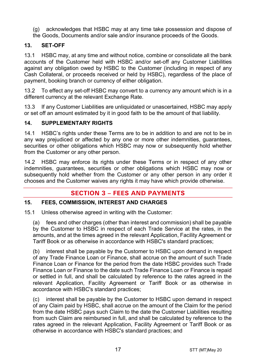- (g) acknowledges that HSBC may at any time take possession and dispose of
- the Goods, Documents and/or sale and/or insurance proceeds of the Goods.

## 13. SET-OFF

13.1 HSBC may, at any time and without notice, combine or consolidate all the bank accounts of the Customer held with HSBC and/or set-off any Customer Liabilities against any obligation owed by HSBC to the Customer (including in respect of any Cash Collateral, or proceeds received or held by HSBC), regardless of the place of payment, booking branch or currency of either obligation.

13.2 To effect any set-off HSBC may convert to a currency any amount which is in a different currency at the relevant Exchange Rate.

13.3 If any Customer Liabilities are unliquidated or unascertained, HSBC may apply or set off an amount estimated by it in good faith to be the amount of that liability.

## 14. SUPPLEMENTARY RIGHTS

14.1 HSBC's rights under these Terms are to be in addition to and are not to be in any way prejudiced or affected by any one or more other indemnities, guarantees, securities or other obligations which HSBC may now or subsequently hold whether from the Customer or any other person.

14.2 HSBC may enforce its rights under these Terms or in respect of any other indemnities, guarantees, securities or other obligations which HSBC may now or subsequently hold whether from the Customer or any other person in any order it chooses and the Customer waives any rights it may have which provide otherwise.

# **SECTION 3 - FEES AND PAYMENTS**

## 15. FEES, COMMISSION, INTEREST AND CHARGES

15.1 Unless otherwise agreed in writing with the Customer:

(a) fees and other charges (other than interest and commission) shall be payable by the Customer to HSBC in respect of each Trade Service at the rates, in the amounts, and at the times agreed in the relevant Application, Facility Agreement or Tariff Book or as otherwise in accordance with HSBC's standard practices;

(b) interest shall be payable by the Customer to HSBC upon demand in respect of any Trade Finance Loan or Finance, shall accrue on the amount of such Trade Finance Loan or Finance for the period from the date HSBC provides such Trade Finance Loan or Finance to the date such Trade Finance Loan or Finance is repaid or settled in full, and shall be calculated by reference to the rates agreed in the relevant Application, Facility Agreement or Tariff Book or as otherwise in accordance with HSBC's standard practices;

(c) interest shall be payable by the Customer to HSBC upon demand in respect of any Claim paid by HSBC, shall accrue on the amount of the Claim for the period from the date HSBC pays such Claim to the date the Customer Liabilities resulting from such Claim are reimbursed in full, and shall be calculated by reference to the rates agreed in the relevant Application, Facility Agreement or Tariff Book or as otherwise in accordance with HSBC's standard practices; and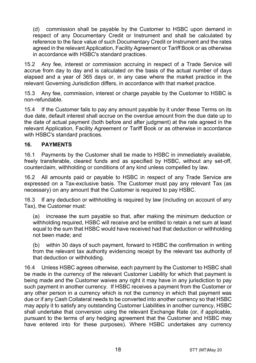(d) commission shall be payable by the Customer to HSBC upon demand in respect of any Documentary Credit or Instrument and shall be calculated by reference to the face value of such Documentary Credit or Instrument and the rates agreed in the relevant Application, Facility Agreement or Tariff Book or as otherwise in accordance with HSBC's standard practices.

15.2 Any fee, interest or commission accruing in respect of a Trade Service will accrue from day to day and is calculated on the basis of the actual number of days elapsed and a year of 365 days or, in any case where the market practice in the relevant Governing Jurisdiction differs, in accordance with that market practice.

15.3 Any fee, commission, interest or charge payable by the Customer to HSBC is non-refundable.

15.4 If the Customer fails to pay any amount payable by it under these Terms on its due date, default interest shall accrue on the overdue amount from the due date up to the date of actual payment (both before and after judgment) at the rate agreed in the relevant Application, Facility Agreement or Tariff Book or as otherwise in accordance with HSBC's standard practices.

## 16. PAYMENTS

16.1 Payments by the Customer shall be made to HSBC in immediately available, freely transferable, cleared funds and as specified by HSBC, without any set-off, counterclaim, withholding or conditions of any kind unless compelled by law.

16.2 All amounts paid or payable to HSBC in respect of any Trade Service are expressed on a Tax-exclusive basis. The Customer must pay any relevant Tax (as necessary) on any amount that the Customer is required to pay HSBC.

16.3 If any deduction or withholding is required by law (including on account of any Tax), the Customer must:

(a) increase the sum payable so that, after making the minimum deduction or withholding required, HSBC will receive and be entitled to retain a net sum at least equal to the sum that HSBC would have received had that deduction or withholding not been made; and

(b) within 30 days of such payment, forward to HSBC the confirmation in writing from the relevant tax authority evidencing receipt by the relevant tax authority of that deduction or withholding.

16.4 Unless HSBC agrees otherwise, each payment by the Customer to HSBC shall be made in the currency of the relevant Customer Liability for which that payment is being made and the Customer waives any right it may have in any jurisdiction to pay such payment in another currency. If HSBC receives a payment from the Customer or any other person in a currency which is not the currency in which that payment was due or if any Cash Collateral needs to be converted into another currency so that HSBC may apply it to satisfy any outstanding Customer Liabilities in another currency, HSBC shall undertake that conversion using the relevant Exchange Rate (or, if applicable, pursuant to the terms of any hedging agreement that the Customer and HSBC may have entered into for these purposes). Where HSBC undertakes any currency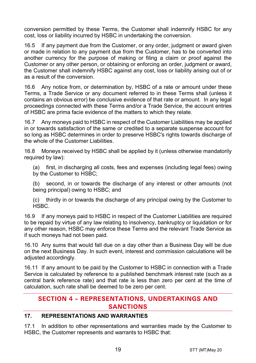conversion permitted by these Terms, the Customer shall indemnify HSBC for any cost, loss or liability incurred by HSBC in undertaking the conversion.

16.5 If any payment due from the Customer, or any order, judgment or award given or made in relation to any payment due from the Customer, has to be converted into another currency for the purpose of making or filing a claim or proof against the Customer or any other person, or obtaining or enforcing an order, judgment or award, the Customer shall indemnify HSBC against any cost, loss or liability arising out of or as a result of the conversion.

16.6 Any notice from, or determination by, HSBC of a rate or amount under these Terms, a Trade Service or any document referred to in these Terms shall (unless it contains an obvious error) be conclusive evidence of that rate or amount. In any legal proceedings connected with these Terms and/or a Trade Service, the account entries of HSBC are prima facie evidence of the matters to which they relate.

16.7 Any moneys paid to HSBC in respect of the Customer Liabilities may be applied in or towards satisfaction of the same or credited to a separate suspense account for so long as HSBC determines in order to preserve HSBC's rights towards discharge of the whole of the Customer Liabilities.

16.8 Moneys received by HSBC shall be applied by it (unless otherwise mandatorily required by law):

(a) first, in discharging all costs, fees and expenses (including legal fees) owing by the Customer to HSBC;

(b) second, in or towards the discharge of any interest or other amounts (not being principal) owing to HSBC; and

(c) thirdly in or towards the discharge of any principal owing by the Customer to HSBC.

16.9 If any moneys paid to HSBC in respect of the Customer Liabilities are required to be repaid by virtue of any law relating to insolvency, bankruptcy or liquidation or for any other reason, HSBC may enforce these Terms and the relevant Trade Service as if such moneys had not been paid.

16.10 Any sums that would fall due on a day other than a Business Day will be due on the next Business Day. In such event, interest and commission calculations will be adjusted accordingly.

16.11 If any amount to be paid by the Customer to HSBC in connection with a Trade Service is calculated by reference to a published benchmark interest rate (such as a central bank reference rate) and that rate is less than zero per cent at the time of calculation, such rate shall be deemed to be zero per cent.

# **SECTION 4 - REPRESENTATIONS, UNDERTAKINGS AND SANCTIONS**

## 17. REPRESENTATIONS AND WARRANTIES

17.1 In addition to other representations and warranties made by the Customer to HSBC, the Customer represents and warrants to HSBC that: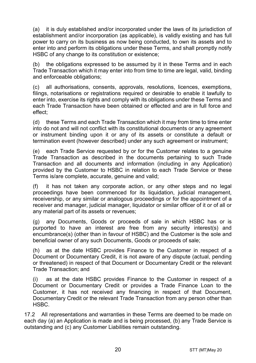(a) it is duly established and/or incorporated under the laws of its jurisdiction of establishment and/or incorporation (as applicable), is validly existing and has full power to carry on its business as now being conducted, to own its assets and to enter into and perform its obligations under these Terms, and shall promptly notify HSBC of any change to its constitution or existence;

(b) the obligations expressed to be assumed by it in these Terms and in each Trade Transaction which it may enter into from time to time are legal, valid, binding and enforceable obligations;

(c) all authorisations, consents, approvals, resolutions, licences, exemptions, filings, notarisations or registrations required or desirable to enable it lawfully to enter into, exercise its rights and comply with its obligations under these Terms and each Trade Transaction have been obtained or effected and are in full force and effect;

(d) these Terms and each Trade Transaction which it may from time to time enter into do not and will not conflict with its constitutional documents or any agreement or instrument binding upon it or any of its assets or constitute a default or termination event (however described) under any such agreement or instrument;

(e) each Trade Service requested by or for the Customer relates to a genuine Trade Transaction as described in the documents pertaining to such Trade Transaction and all documents and information (including in any Application) provided by the Customer to HSBC in relation to each Trade Service or these Terms is/are complete, accurate, genuine and valid;

(f) it has not taken any corporate action, or any other steps and no legal proceedings have been commenced for its liquidation, judicial management, receivership, or any similar or analogous proceedings or for the appointment of a receiver and manager, judicial manager, liquidator or similar officer of it or of all or any material part of its assets or revenues;

(g) any Documents, Goods or proceeds of sale in which HSBC has or is purported to have an interest are free from any security interest(s) and encumbrance(s) (other than in favour of HSBC) and the Customer is the sole and beneficial owner of any such Documents, Goods or proceeds of sale;

(h) as at the date HSBC provides Finance to the Customer in respect of a Document or Documentary Credit, it is not aware of any dispute (actual, pending or threatened) in respect of that Document or Documentary Credit or the relevant Trade Transaction; and

(i) as at the date HSBC provides Finance to the Customer in respect of a Document or Documentary Credit or provides a Trade Finance Loan to the Customer, it has not received any financing in respect of that Document, Documentary Credit or the relevant Trade Transaction from any person other than HSBC.

17.2 All representations and warranties in these Terms are deemed to be made on each day (a) an Application is made and is being processed, (b) any Trade Service is outstanding and (c) any Customer Liabilities remain outstanding.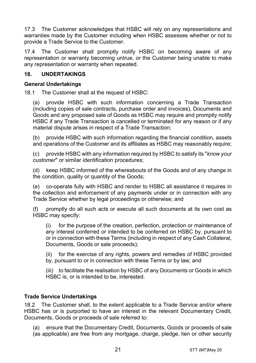17.3 The Customer acknowledges that HSBC will rely on any representations and warranties made by the Customer including when HSBC assesses whether or not to provide a Trade Service to the Customer.

17.4 The Customer shall promptly notify HSBC on becoming aware of any representation or warranty becoming untrue, or the Customer being unable to make any representation or warranty when repeated.

## 18. UNDERTAKINGS

## General Undertakings

18.1 The Customer shall at the request of HSBC:

(a) provide HSBC with such information concerning a Trade Transaction (including copies of sale contracts, purchase order and invoices), Documents and Goods and any proposed sale of Goods as HSBC may require and promptly notify HSBC if any Trade Transaction is cancelled or terminated for any reason or if any material dispute arises in respect of a Trade Transaction;

(b) provide HSBC with such information regarding the financial condition, assets and operations of the Customer and its affiliates as HSBC may reasonably require;

(c) provide HSBC with any information required by HSBC to satisfy its "know your customer" or similar identification procedures;

(d) keep HSBC informed of the whereabouts of the Goods and of any change in the condition, quality or quantity of the Goods;

(e) co-operate fully with HSBC and render to HSBC all assistance it requires in the collection and enforcement of any payments under or in connection with any Trade Service whether by legal proceedings or otherwise; and

(f) promptly do all such acts or execute all such documents at its own cost as HSBC may specify:

(i) for the purpose of the creation, perfection, protection or maintenance of any interest conferred or intended to be conferred on HSBC by, pursuant to or in connection with these Terms (including in respect of any Cash Collateral, Documents, Goods or sale proceeds);

(ii) for the exercise of any rights, powers and remedies of HSBC provided by, pursuant to or in connection with these Terms or by law; and

(iii) to facilitate the realisation by HSBC of any Documents or Goods in which HSBC is, or is intended to be, interested.

## Trade Service Undertakings

18.2 The Customer shall, to the extent applicable to a Trade Service and/or where HSBC has or is purported to have an interest in the relevant Documentary Credit, Documents, Goods or proceeds of sale referred to:

(a) ensure that the Documentary Credit, Documents, Goods or proceeds of sale (as applicable) are free from any mortgage, charge, pledge, lien or other security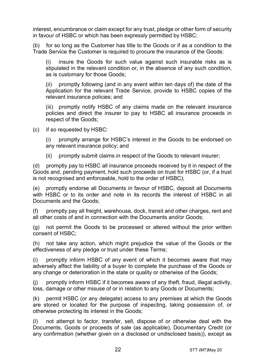interest, encumbrance or claim except for any trust, pledge or other form of security in favour of HSBC or which has been expressly permitted by HSBC;

(b) for so long as the Customer has title to the Goods or if as a condition to the Trade Service the Customer is required to procure the insurance of the Goods:

(i) insure the Goods for such value against such insurable risks as is stipulated in the relevant condition or, in the absence of any such condition, as is customary for those Goods;

(ii) promptly following (and in any event within ten days of) the date of the Application for the relevant Trade Service, provide to HSBC copies of the relevant insurance policies; and

(iii) promptly notify HSBC of any claims made on the relevant insurance policies and direct the insurer to pay to HSBC all insurance proceeds in respect of the Goods;

(c) if so requested by HSBC:

(i) promptly arrange for HSBC's interest in the Goods to be endorsed on any relevant insurance policy; and

(ii) promptly submit claims in respect of the Goods to relevant insurer;

(d) promptly pay to HSBC all insurance proceeds received by it in respect of the Goods and, pending payment, hold such proceeds on trust for HSBC (or, if a trust is not recognised and enforceable, hold to the order of HSBC);

(e) promptly endorse all Documents in favour of HSBC, deposit all Documents with HSBC or to its order and note in its records the interest of HSBC in all Documents and the Goods;

promptly pay all freight, warehouse, dock, transit and other charges, rent and all other costs of and in connection with the Documents and/or Goods;

(g) not permit the Goods to be processed or altered without the prior written consent of HSBC;

(h) not take any action, which might prejudice the value of the Goods or the effectiveness of any pledge or trust under these Terms;

(i) promptly inform HSBC of any event of which it becomes aware that may adversely affect the liability of a buyer to complete the purchase of the Goods or any change or deterioration in the state or quality or otherwise of the Goods;

(j) promptly inform HSBC if it becomes aware of any theft, fraud, illegal activity, loss, damage or other misuse of or in relation to any Goods or Documents;

(k) permit HSBC (or any delegate) access to any premises at which the Goods are stored or located for the purpose of inspecting, taking possession of, or otherwise protecting its interest in the Goods;

(l) not attempt to factor, transfer, sell, dispose of or otherwise deal with the Documents, Goods or proceeds of sale (as applicable), Documentary Credit (or any confirmation (whether given on a disclosed or undisclosed basis)), except as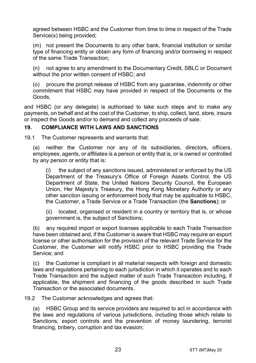agreed between HSBC and the Customer from time to time in respect of the Trade Service(s) being provided;

(m) not present the Documents to any other bank, financial institution or similar type of financing entity or obtain any form of financing and/or borrowing in respect of the same Trade Transaction;

(n) not agree to any amendment to the Documentary Credit, SBLC or Document without the prior written consent of HSBC; and

(o) procure the prompt release of HSBC from any guarantee, indemnity or other commitment that HSBC may have provided in respect of the Documents or the Goods,

and HSBC (or any delegate) is authorised to take such steps and to make any payments, on behalf and at the cost of the Customer, to ship, collect, land, store, insure or inspect the Goods and/or to demand and collect any proceeds of sale.

## 19. COMPLIANCE WITH LAWS AND SANCTIONS

19.1 The Customer represents and warrants that:

(a) neither the Customer nor any of its subsidiaries, directors, officers, employees, agents, or affiliates is a person or entity that is, or is owned or controlled by any person or entity that is:

(i) the subject of any sanctions issued, administered or enforced by the US Department of the Treasury's Office of Foreign Assets Control, the US Department of State, the United Nations Security Council, the European Union, Her Majesty's Treasury, the Hong Kong Monetary Authority or any other sanction issuing or enforcement body that may be applicable to HSBC, the Customer, a Trade Service or a Trade Transaction (the Sanctions); or

(ii) located, organised or resident in a country or territory that is, or whose government is, the subject of Sanctions;

(b) any required import or export licenses applicable to each Trade Transaction have been obtained and, if the Customer is aware that HSBC may require an export license or other authorisation for the provision of the relevant Trade Service for the Customer, the Customer will notify HSBC prior to HSBC providing the Trade Service; and

(c) the Customer is compliant in all material respects with foreign and domestic laws and regulations pertaining to each jurisdiction in which it operates and to each Trade Transaction and the subject matter of such Trade Transaction including, if applicable, the shipment and financing of the goods described in such Trade Transaction or the associated documents.

19.2 The Customer acknowledges and agrees that:

(a) HSBC Group and its service providers are required to act in accordance with the laws and regulations of various jurisdictions, including those which relate to Sanctions, export controls and the prevention of money laundering, terrorist financing, bribery, corruption and tax evasion;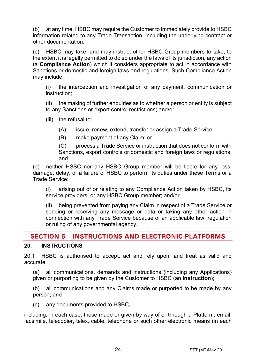(b) at any time, HSBC may require the Customer to immediately provide to HSBC information related to any Trade Transaction, including the underlying contract or other documentation;

(c) HSBC may take, and may instruct other HSBC Group members to take, to the extent it is legally permitted to do so under the laws of its jurisdiction, any action (a Compliance Action) which it considers appropriate to act in accordance with Sanctions or domestic and foreign laws and regulations. Such Compliance Action may include:

(i) the interception and investigation of any payment, communication or instruction;

(ii) the making of further enquiries as to whether a person or entity is subject to any Sanctions or export control restrictions; and/or

(iii) the refusal to:

- (A) issue, renew, extend, transfer or assign a Trade Service;
- (B) make payment of any Claim; or

(C) process a Trade Service or instruction that does not conform with Sanctions, export controls or domestic and foreign laws or regulations; and

(d) neither HSBC nor any HSBC Group member will be liable for any loss, damage, delay, or a failure of HSBC to perform its duties under these Terms or a Trade Service:

(i) arising out of or relating to any Compliance Action taken by HSBC, its service providers, or any HSBC Group member; and/or

(ii) being prevented from paying any Claim in respect of a Trade Service or sending or receiving any message or data or taking any other action in connection with any Trade Service because of an applicable law, regulation or ruling of any governmental agency.

## **SECTION 5 - INSTRUCTIONS AND ELECTRONIC PLATFORMS**

## 20. INSTRUCTIONS

20.1 HSBC is authorised to accept, act and rely upon, and treat as valid and accurate:

(a) all communications, demands and instructions (including any Applications) given or purporting to be given by the Customer to HSBC (an Instruction);

(b) all communications and any Claims made or purported to be made by any person; and

(c) any documents provided to HSBC,

including, in each case, those made or given by way of or through a Platform, email, facsimile, telecopier, telex, cable, telephone or such other electronic means (in each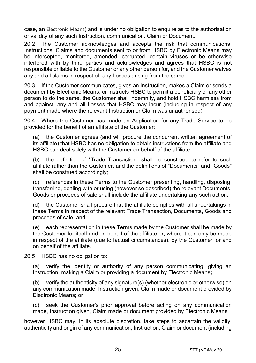case, an Electronic Means) and is under no obligation to enquire as to the authorisation or validity of any such Instruction, communication, Claim or Document.

20.2 The Customer acknowledges and accepts the risk that communications, Instructions, Claims and documents sent to or from HSBC by Electronic Means may be intercepted, monitored, amended, corrupted, contain viruses or be otherwise interfered with by third parties and acknowledges and agrees that HSBC is not responsible or liable to the Customer or any other person for, and the Customer waives any and all claims in respect of, any Losses arising from the same.

20.3 If the Customer communicates, gives an Instruction, makes a Claim or sends a document by Electronic Means, or instructs HSBC to permit a beneficiary or any other person to do the same, the Customer shall indemnify, and hold HSBC harmless from and against, any and all Losses that HSBC may incur (including in respect of any payment made where the relevant Instruction or Claim was unauthorised).

20.4 Where the Customer has made an Application for any Trade Service to be provided for the benefit of an affiliate of the Customer:

(a) the Customer agrees (and will procure the concurrent written agreement of its affiliate) that HSBC has no obligation to obtain instructions from the affiliate and HSBC can deal solely with the Customer on behalf of the affiliate;

(b) the definition of "Trade Transaction" shall be construed to refer to such affiliate rather than the Customer, and the definitions of "Documents" and "Goods" shall be construed accordingly;

(c) references in these Terms to the Customer presenting, handling, disposing, transferring, dealing with or using (however so described) the relevant Documents, Goods or proceeds of sale shall include the affiliate undertaking any such action;

(d) the Customer shall procure that the affiliate complies with all undertakings in these Terms in respect of the relevant Trade Transaction, Documents, Goods and proceeds of sale; and

(e) each representation in these Terms made by the Customer shall be made by the Customer for itself and on behalf of the affiliate or, where it can only be made in respect of the affiliate (due to factual circumstances), by the Customer for and on behalf of the affiliate.

20.5 HSBC has no obligation to:

(a) verify the identity or authority of any person communicating, giving an Instruction, making a Claim or providing a document by Electronic Means;

(b) verify the authenticity of any signature(s) (whether electronic or otherwise) on any communication made, Instruction given, Claim made or document provided by Electronic Means; or

(c) seek the Customer's prior approval before acting on any communication made, Instruction given, Claim made or document provided by Electronic Means,

however HSBC may, in its absolute discretion, take steps to ascertain the validity, authenticity and origin of any communication, Instruction, Claim or document (including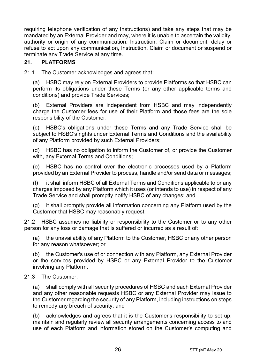requiring telephone verification of any Instructions) and take any steps that may be mandated by an External Provider and may, where it is unable to ascertain the validity, authority or origin of any communication, Instruction, Claim or document, delay or refuse to act upon any communication, Instruction, Claim or document or suspend or terminate any Trade Service at any time.

## 21. PLATFORMS

21.1 The Customer acknowledges and agrees that:

(a) HSBC may rely on External Providers to provide Platforms so that HSBC can perform its obligations under these Terms (or any other applicable terms and conditions) and provide Trade Services;

(b) External Providers are independent from HSBC and may independently charge the Customer fees for use of their Platform and those fees are the sole responsibility of the Customer;

(c) HSBC's obligations under these Terms and any Trade Service shall be subject to HSBC's rights under External Terms and Conditions and the availability of any Platform provided by such External Providers;

(d) HSBC has no obligation to inform the Customer of, or provide the Customer with, any External Terms and Conditions;

(e) HSBC has no control over the electronic processes used by a Platform provided by an External Provider to process, handle and/or send data or messages;

(f) it shall inform HSBC of all External Terms and Conditions applicable to or any charges imposed by any Platform which it uses (or intends to use) in respect of any Trade Service and shall promptly notify HSBC of any changes; and

(g) it shall promptly provide all information concerning any Platform used by the Customer that HSBC may reasonably request.

21.2 HSBC assumes no liability or responsibility to the Customer or to any other person for any loss or damage that is suffered or incurred as a result of:

(a) the unavailability of any Platform to the Customer, HSBC or any other person for any reason whatsoever; or

(b) the Customer's use of or connection with any Platform, any External Provider or the services provided by HSBC or any External Provider to the Customer involving any Platform.

## 21.3 The Customer:

(a) shall comply with all security procedures of HSBC and each External Provider and any other reasonable requests HSBC or any External Provider may issue to the Customer regarding the security of any Platform, including instructions on steps to remedy any breach of security; and

(b) acknowledges and agrees that it is the Customer's responsibility to set up, maintain and regularly review all security arrangements concerning access to and use of each Platform and information stored on the Customer's computing and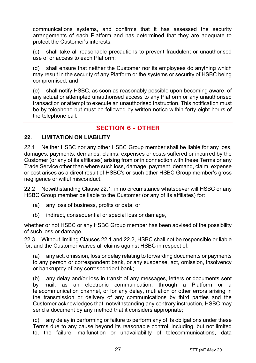communications systems, and confirms that it has assessed the security arrangements of each Platform and has determined that they are adequate to protect the Customer's interests;

(c) shall take all reasonable precautions to prevent fraudulent or unauthorised use of or access to each Platform;

(d) shall ensure that neither the Customer nor its employees do anything which may result in the security of any Platform or the systems or security of HSBC being compromised; and

(e) shall notify HSBC, as soon as reasonably possible upon becoming aware, of any actual or attempted unauthorised access to any Platform or any unauthorised transaction or attempt to execute an unauthorised Instruction. This notification must be by telephone but must be followed by written notice within forty-eight hours of the telephone call.

## **SECTION 6 - OTHER**

#### 22. LIMITATION ON LIABILITY

22.1 Neither HSBC nor any other HSBC Group member shall be liable for any loss, damages, payments, demands, claims, expenses or costs suffered or incurred by the Customer (or any of its affiliates) arising from or in connection with these Terms or any Trade Service other than where such loss, damage, payment, demand, claim, expense or cost arises as a direct result of HSBC's or such other HSBC Group member's gross negligence or wilful misconduct.

22.2 Notwithstanding Clause 22.1, in no circumstance whatsoever will HSBC or any HSBC Group member be liable to the Customer (or any of its affiliates) for:

- (a) any loss of business, profits or data; or
- (b) indirect, consequential or special loss or damage,

whether or not HSBC or any HSBC Group member has been advised of the possibility of such loss or damage.

22.3 Without limiting Clauses 22.1 and 22.2, HSBC shall not be responsible or liable for, and the Customer waives all claims against HSBC in respect of:

(a) any act, omission, loss or delay relating to forwarding documents or payments to any person or correspondent bank, or any suspense, act, omission, insolvency or bankruptcy of any correspondent bank;

(b) any delay and/or loss in transit of any messages, letters or documents sent by mail, as an electronic communication, through a Platform or a telecommunication channel, or for any delay, mutilation or other errors arising in the transmission or delivery of any communications by third parties and the Customer acknowledges that, notwithstanding any contrary instruction, HSBC may send a document by any method that it considers appropriate;

(c) any delay in performing or failure to perform any of its obligations under these Terms due to any cause beyond its reasonable control, including, but not limited to, the failure, malfunction or unavailability of telecommunications, data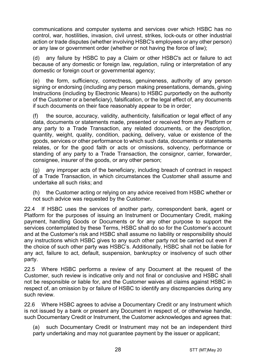communications and computer systems and services over which HSBC has no control, war, hostilities, invasion, civil unrest, strikes, lock-outs or other industrial action or trade disputes (whether involving HSBC's employees or any other person) or any law or government order (whether or not having the force of law);

(d) any failure by HSBC to pay a Claim or other HSBC's act or failure to act because of any domestic or foreign law, regulation, ruling or interpretation of any domestic or foreign court or governmental agency;

(e) the form, sufficiency, correctness, genuineness, authority of any person signing or endorsing (including any person making presentations, demands, giving Instructions (including by Electronic Means) to HSBC purportedly on the authority of the Customer or a beneficiary), falsification, or the legal effect of, any documents if such documents on their face reasonably appear to be in order;

(f) the source, accuracy, validity, authenticity, falsification or legal effect of any data, documents or statements made, presented or received from any Platform or any party to a Trade Transaction, any related documents, or the description, quantity, weight, quality, condition, packing, delivery, value or existence of the goods, services or other performance to which such data, documents or statements relates, or for the good faith or acts or omissions, solvency, performance or standing of any party to a Trade Transaction, the consignor, carrier, forwarder, consignee, insurer of the goods, or any other person;

(g) any improper acts of the beneficiary, including breach of contract in respect of a Trade Transaction, in which circumstances the Customer shall assume and undertake all such risks; and

(h) the Customer acting or relying on any advice received from HSBC whether or not such advice was requested by the Customer.

22.4 If HSBC uses the services of another party, correspondent bank, agent or Platform for the purposes of issuing an Instrument or Documentary Credit, making payment, handling Goods or Documents or for any other purpose to support the services contemplated by these Terms, HSBC shall do so for the Customer's account and at the Customer's risk and HSBC shall assume no liability or responsibility should any instructions which HSBC gives to any such other party not be carried out even if the choice of such other party was HSBC's. Additionally, HSBC shall not be liable for any act, failure to act, default, suspension, bankruptcy or insolvency of such other party.

22.5 Where HSBC performs a review of any Document at the request of the Customer, such review is indicative only and not final or conclusive and HSBC shall not be responsible or liable for, and the Customer waives all claims against HSBC in respect of, an omission by or failure of HSBC to identify any discrepancies during any such review.

22.6 Where HSBC agrees to advise a Documentary Credit or any Instrument which is not issued by a bank or present any Document in respect of, or otherwise handle, such Documentary Credit or Instrument, the Customer acknowledges and agrees that:

(a) such Documentary Credit or Instrument may not be an independent third party undertaking and may not guarantee payment by the issuer or applicant;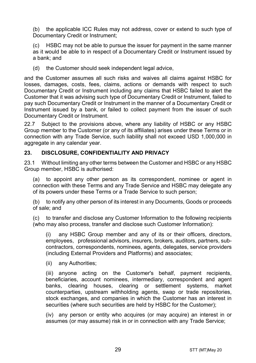(b) the applicable ICC Rules may not address, cover or extend to such type of Documentary Credit or Instrument;

(c) HSBC may not be able to pursue the issuer for payment in the same manner as it would be able to in respect of a Documentary Credit or Instrument issued by a bank; and

(d) the Customer should seek independent legal advice,

and the Customer assumes all such risks and waives all claims against HSBC for losses, damages, costs, fees, claims, actions or demands with respect to such Documentary Credit or Instrument including any claims that HSBC failed to alert the Customer that it was advising such type of Documentary Credit or Instrument, failed to pay such Documentary Credit or Instrument in the manner of a Documentary Credit or Instrument issued by a bank, or failed to collect payment from the issuer of such Documentary Credit or Instrument.

22.7 Subject to the provisions above, where any liability of HSBC or any HSBC Group member to the Customer (or any of its affiliates) arises under these Terms or in connection with any Trade Service, such liability shall not exceed USD 1,000,000 in aggregate in any calendar year.

## 23. DISCLOSURE, CONFIDENTIALITY AND PRIVACY

23.1 Without limiting any other terms between the Customer and HSBC or any HSBC Group member, HSBC is authorised:

(a) to appoint any other person as its correspondent, nominee or agent in connection with these Terms and any Trade Service and HSBC may delegate any of its powers under these Terms or a Trade Service to such person;

(b) to notify any other person of its interest in any Documents, Goods or proceeds of sale; and

(c) to transfer and disclose any Customer Information to the following recipients (who may also process, transfer and disclose such Customer Information):

(i) any HSBC Group member and any of its or their officers, directors, employees, professional advisors, insurers, brokers, auditors, partners, subcontractors, correspondents, nominees, agents, delegates, service providers (including External Providers and Platforms) and associates;

(ii) any Authorities;

(iii) anyone acting on the Customer's behalf, payment recipients, beneficiaries, account nominees, intermediary, correspondent and agent banks, clearing houses, clearing or settlement systems, market counterparties, upstream withholding agents, swap or trade repositories, stock exchanges, and companies in which the Customer has an interest in securities (where such securities are held by HSBC for the Customer);

(iv) any person or entity who acquires (or may acquire) an interest in or assumes (or may assume) risk in or in connection with any Trade Service;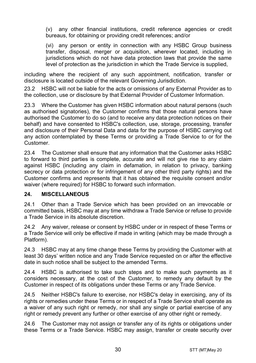(v) any other financial institutions, credit reference agencies or credit bureaus, for obtaining or providing credit references; and/or

(vi) any person or entity in connection with any HSBC Group business transfer, disposal, merger or acquisition, wherever located, including in jurisdictions which do not have data protection laws that provide the same level of protection as the jurisdiction in which the Trade Service is supplied,

including where the recipient of any such appointment, notification, transfer or disclosure is located outside of the relevant Governing Jurisdiction.

23.2 HSBC will not be liable for the acts or omissions of any External Provider as to the collection, use or disclosure by that External Provider of Customer Information.

23.3 Where the Customer has given HSBC information about natural persons (such as authorised signatories), the Customer confirms that those natural persons have authorised the Customer to do so (and to receive any data protection notices on their behalf) and have consented to HSBC's collection, use, storage, processing, transfer and disclosure of their Personal Data and data for the purpose of HSBC carrying out any action contemplated by these Terms or providing a Trade Service to or for the Customer.

23.4 The Customer shall ensure that any information that the Customer asks HSBC to forward to third parties is complete, accurate and will not give rise to any claim against HSBC (including any claim in defamation, in relation to privacy, banking secrecy or data protection or for infringement of any other third party rights) and the Customer confirms and represents that it has obtained the requisite consent and/or waiver (where required) for HSBC to forward such information.

## 24. MISCELLANEOUS

24.1 Other than a Trade Service which has been provided on an irrevocable or committed basis, HSBC may at any time withdraw a Trade Service or refuse to provide a Trade Service in its absolute discretion.

24.2 Any waiver, release or consent by HSBC under or in respect of these Terms or a Trade Service will only be effective if made in writing (which may be made through a Platform).

24.3 HSBC may at any time change these Terms by providing the Customer with at least 30 days' written notice and any Trade Service requested on or after the effective date in such notice shall be subject to the amended Terms.

24.4 HSBC is authorised to take such steps and to make such payments as it considers necessary, at the cost of the Customer, to remedy any default by the Customer in respect of its obligations under these Terms or any Trade Service.

24.5 Neither HSBC's failure to exercise, nor HSBC's delay in exercising, any of its rights or remedies under these Terms or in respect of a Trade Service shall operate as a waiver of any such right or remedy, nor shall any single or partial exercise of any right or remedy prevent any further or other exercise of any other right or remedy.

24.6 The Customer may not assign or transfer any of its rights or obligations under these Terms or a Trade Service. HSBC may assign, transfer or create security over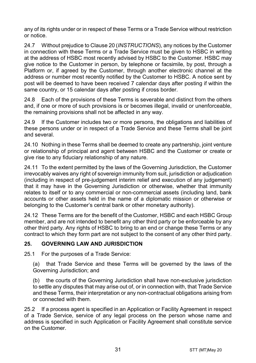any of its rights under or in respect of these Terms or a Trade Service without restriction or notice.

24.7 Without prejudice to Clause 20 (INSTRUCTIONS), any notices by the Customer in connection with these Terms or a Trade Service must be given to HSBC in writing at the address of HSBC most recently advised by HSBC to the Customer. HSBC may give notice to the Customer in person, by telephone or facsimile, by post, through a Platform or, if agreed by the Customer, through another electronic channel at the address or number most recently notified by the Customer to HSBC. A notice sent by post will be deemed to have been received 7 calendar days after posting if within the same country, or 15 calendar days after posting if cross border.

24.8 Each of the provisions of these Terms is severable and distinct from the others and, if one or more of such provisions is or becomes illegal, invalid or unenforceable, the remaining provisions shall not be affected in any way.

24.9 If the Customer includes two or more persons, the obligations and liabilities of these persons under or in respect of a Trade Service and these Terms shall be joint and several.

24.10 Nothing in these Terms shall be deemed to create any partnership, joint venture or relationship of principal and agent between HSBC and the Customer or create or give rise to any fiduciary relationship of any nature.

24.11 To the extent permitted by the laws of the Governing Jurisdiction, the Customer irrevocably waives any right of sovereign immunity from suit, jurisdiction or adjudication (including in respect of pre-judgement interim relief and execution of any judgement) that it may have in the Governing Jurisdiction or otherwise, whether that immunity relates to itself or to any commercial or non-commercial assets (including land, bank accounts or other assets held in the name of a diplomatic mission or otherwise or belonging to the Customer's central bank or other monetary authority).

24.12 These Terms are for the benefit of the Customer, HSBC and each HSBC Group member, and are not intended to benefit any other third party or be enforceable by any other third party. Any rights of HSBC to bring to an end or change these Terms or any contract to which they form part are not subject to the consent of any other third party.

## 25. GOVERNING LAW AND JURISDICTION

25.1 For the purposes of a Trade Service:

(a) that Trade Service and these Terms will be governed by the laws of the Governing Jurisdiction; and

(b) the courts of the Governing Jurisdiction shall have non-exclusive jurisdiction to settle any disputes that may arise out of, or in connection with, that Trade Service and these Terms, their interpretation or any non-contractual obligations arising from or connected with them.

25.2 If a process agent is specified in an Application or Facility Agreement in respect of a Trade Service, service of any legal process on the person whose name and address is specified in such Application or Facility Agreement shall constitute service on the Customer.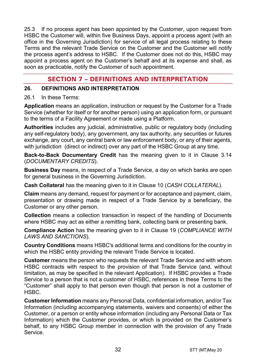25.3 If no process agent has been appointed by the Customer, upon request from HSBC the Customer will, within five Business Days, appoint a process agent (with an office in the Governing Jurisdiction) for service of all legal process relating to these Terms and the relevant Trade Service on the Customer and the Customer will notify the process agent's address to HSBC. If the Customer does not do this, HSBC may appoint a process agent on the Customer's behalf and at its expense and shall, as soon as practicable, notify the Customer of such appointment.

## **SECTION 7 - DEFINITIONS AND INTERPRETATION**

## 26. DEFINITIONS AND INTERPRETATION

#### 26.1 In these Terms:

Application means an application, instruction or request by the Customer for a Trade Service (whether for itself or for another person) using an application form, or pursuant to the terms of a Facility Agreement or made using a Platform.

Authorities includes any judicial, administrative, public or regulatory body (including any self-regulatory body), any government, any tax authority, any securities or futures exchange, any court, any central bank or law enforcement body, or any of their agents, with jurisdiction (direct or indirect) over any part of the HSBC Group at any time.

Back-to-Back Documentary Credit has the meaning given to it in Clause 3.14 (DOCUMENTARY CREDITS).

Business Day means, in respect of a Trade Service, a day on which banks are open for general business in the Governing Jurisdiction.

Cash Collateral has the meaning given to it in Clause 10 (CASH COLLATERAL).

Claim means any demand, request for payment or for acceptance and payment, claim, presentation or drawing made in respect of a Trade Service by a beneficiary, the Customer or any other person.

Collection means a collection transaction in respect of the handling of Documents where HSBC may act as either a remitting bank, collecting bank or presenting bank.

Compliance Action has the meaning given to it in Clause 19 (COMPLIANCE WITH LAWS AND SANCTIONS).

Country Conditions means HSBC's additional terms and conditions for the country in which the HSBC entity providing the relevant Trade Service is located.

Customer means the person who requests the relevant Trade Service and with whom HSBC contracts with respect to the provision of that Trade Service (and, without limitation, as may be specified in the relevant Application). If HSBC provides a Trade Service to a person that is not a customer of HSBC, references in these Terms to the "Customer" shall apply to that person even though that person is not a customer of HSBC.

Customer Information means any Personal Data, confidential information, and/or Tax Information (including accompanying statements, waivers and consents) of either the Customer, or a person or entity whose information (including any Personal Data or Tax Information) which the Customer provides, or which is provided on the Customer's behalf, to any HSBC Group member in connection with the provision of any Trade Service.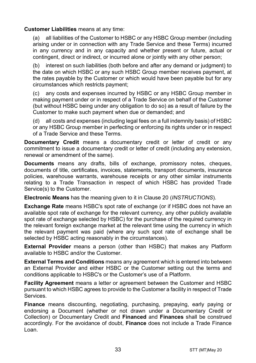#### Customer Liabilities means at any time:

(a) all liabilities of the Customer to HSBC or any HSBC Group member (including arising under or in connection with any Trade Service and these Terms) incurred in any currency and in any capacity and whether present or future, actual or contingent, direct or indirect, or incurred alone or jointly with any other person;

(b) interest on such liabilities (both before and after any demand or judgment) to the date on which HSBC or any such HSBC Group member receives payment, at the rates payable by the Customer or which would have been payable but for any circumstances which restricts payment;

(c) any costs and expenses incurred by HSBC or any HSBC Group member in making payment under or in respect of a Trade Service on behalf of the Customer (but without HSBC being under any obligation to do so) as a result of failure by the Customer to make such payment when due or demanded; and

(d) all costs and expenses (including legal fees on a full indemnity basis) of HSBC or any HSBC Group member in perfecting or enforcing its rights under or in respect of a Trade Service and these Terms.

Documentary Credit means a documentary credit or letter of credit or any commitment to issue a documentary credit or letter of credit (including any extension, renewal or amendment of the same).

Documents means any drafts, bills of exchange, promissory notes, cheques, documents of title, certificates, invoices, statements, transport documents, insurance policies, warehouse warrants, warehouse receipts or any other similar instruments relating to a Trade Transaction in respect of which HSBC has provided Trade Service(s) to the Customer.

Electronic Means has the meaning given to it in Clause 20 (INSTRUCTIONS).

Exchange Rate means HSBC's spot rate of exchange (or if HSBC does not have an available spot rate of exchange for the relevant currency, any other publicly available spot rate of exchange selected by HSBC) for the purchase of the required currency in the relevant foreign exchange market at the relevant time using the currency in which the relevant payment was paid (where any such spot rate of exchange shall be selected by HSBC acting reasonably in the circumstances).

External Provider means a person (other than HSBC) that makes any Platform available to HSBC and/or the Customer.

External Terms and Conditions means any agreement which is entered into between an External Provider and either HSBC or the Customer setting out the terms and conditions applicable to HSBC's or the Customer's use of a Platform.

Facility Agreement means a letter or agreement between the Customer and HSBC pursuant to which HSBC agrees to provide to the Customer a facility in respect of Trade Services.

Finance means discounting, negotiating, purchasing, prepaying, early paying or endorsing a Document (whether or not drawn under a Documentary Credit or Collection) or Documentary Credit and Financed and Finances shall be construed accordingly. For the avoidance of doubt, Finance does not include a Trade Finance Loan.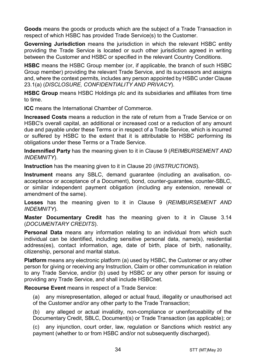Goods means the goods or products which are the subject of a Trade Transaction in respect of which HSBC has provided Trade Service(s) to the Customer.

Governing Jurisdiction means the jurisdiction in which the relevant HSBC entity providing the Trade Service is located or such other jurisdiction agreed in writing between the Customer and HSBC or specified in the relevant Country Conditions.

HSBC means the HSBC Group member (or, if applicable, the branch of such HSBC Group member) providing the relevant Trade Service, and its successors and assigns and, where the context permits, includes any person appointed by HSBC under Clause 23.1(a) (DISCLOSURE, CONFIDENTIALITY AND PRIVACY).

HSBC Group means HSBC Holdings plc and its subsidiaries and affiliates from time to time.

ICC means the International Chamber of Commerce.

Increased Costs means a reduction in the rate of return from a Trade Service or on HSBC's overall capital, an additional or increased cost or a reduction of any amount due and payable under these Terms or in respect of a Trade Service, which is incurred or suffered by HSBC to the extent that it is attributable to HSBC performing its obligations under these Terms or a Trade Service.

Indemnified Party has the meaning given to it in Clause 9 (REIMBURSEMENT AND INDEMNITY).

Instruction has the meaning given to it in Clause 20 (INSTRUCTIONS).

Instrument means any SBLC, demand guarantee (including an avalisation, coacceptance or acceptance of a Document), bond, counter-guarantee, counter-SBLC, or similar independent payment obligation (including any extension, renewal or amendment of the same).

Losses has the meaning given to it in Clause 9 (REIMBURSEMENT AND INDEMNITY).

Master Documentary Credit has the meaning given to it in Clause 3.14 (DOCUMENTARY CREDITS).

Personal Data means any information relating to an individual from which such individual can be identified, including sensitive personal data, name(s), residential address(es), contact information, age, date of birth, place of birth, nationality, citizenship, personal and marital status.

Platform means any electronic platform (a) used by HSBC, the Customer or any other person for giving or receiving any Instruction, Claim or other communication in relation to any Trade Service, and/or (b) used by HSBC or any other person for issuing or providing any Trade Service, and shall include HSBCnet.

Recourse Event means in respect of a Trade Service:

(a) any misrepresentation, alleged or actual fraud, illegality or unauthorised act of the Customer and/or any other party to the Trade Transaction;

(b) any alleged or actual invalidity, non-compliance or unenforceability of the Documentary Credit, SBLC, Document(s) or Trade Transaction (as applicable); or

(c) any injunction, court order, law, regulation or Sanctions which restrict any payment (whether to or from HSBC and/or not subsequently discharged).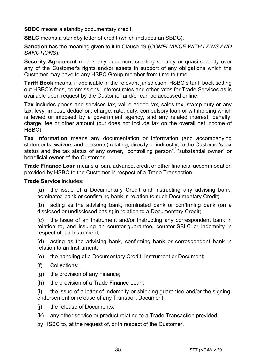SBDC means a standby documentary credit.

SBLC means a standby letter of credit (which includes an SBDC).

Sanction has the meaning given to it in Clause 19 (COMPLIANCE WITH LAWS AND SANCTIONS).

Security Agreement means any document creating security or quasi-security over any of the Customer's rights and/or assets in support of any obligations which the Customer may have to any HSBC Group member from time to time.

Tariff Book means, if applicable in the relevant jurisdiction, HSBC's tariff book setting out HSBC's fees, commissions, interest rates and other rates for Trade Services as is available upon request by the Customer and/or can be accessed online.

Tax includes goods and services tax, value added tax, sales tax, stamp duty or any tax, levy, impost, deduction, charge, rate, duty, compulsory loan or withholding which is levied or imposed by a government agency, and any related interest, penalty, charge, fee or other amount (but does not include tax on the overall net income of HSBC).

Tax Information means any documentation or information (and accompanying statements, waivers and consents) relating, directly or indirectly, to the Customer's tax status and the tax status of any owner, "controlling person", "substantial owner" or beneficial owner of the Customer.

Trade Finance Loan means a loan, advance, credit or other financial accommodation provided by HSBC to the Customer in respect of a Trade Transaction.

Trade Service includes:

(a) the issue of a Documentary Credit and instructing any advising bank, nominated bank or confirming bank in relation to such Documentary Credit;

(b) acting as the advising bank, nominated bank or confirming bank (on a disclosed or undisclosed basis) in relation to a Documentary Credit;

(c) the issue of an Instrument and/or instructing any correspondent bank in relation to, and issuing an counter-guarantee, counter-SBLC or indemnity in respect of, an Instrument;

(d) acting as the advising bank, confirming bank or correspondent bank in relation to an Instrument;

(e) the handling of a Documentary Credit, Instrument or Document;

- (f) Collections;
- (g) the provision of any Finance;
- (h) the provision of a Trade Finance Loan;

(i) the issue of a letter of indemnity or shipping guarantee and/or the signing, endorsement or release of any Transport Document;

- (j) the release of Documents;
- (k) any other service or product relating to a Trade Transaction provided,

by HSBC to, at the request of, or in respect of the Customer.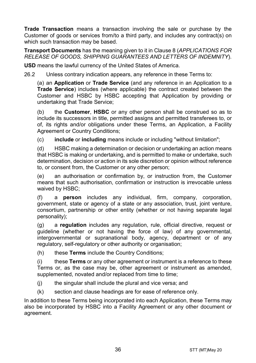Trade Transaction means a transaction involving the sale or purchase by the Customer of goods or services from/to a third party, and includes any contract(s) on which such transaction may be based.

**Transport Documents** has the meaning given to it in Clause 8 (APPLICATIONS FOR RELEASE OF GOODS, SHIPPING GUARANTEES AND LETTERS OF INDEMNITY).

USD means the lawful currency of the United States of America.

26.2 Unless contrary indication appears, any reference in these Terms to:

(a) an Application or Trade Service (and any reference in an Application to a Trade Service) includes (where applicable) the contract created between the Customer and HSBC by HSBC accepting that Application by providing or undertaking that Trade Service;

(b) the Customer, HSBC or any other person shall be construed so as to include its successors in title, permitted assigns and permitted transferees to, or of, its rights and/or obligations under these Terms, an Application, a Facility Agreement or Country Conditions;

(c) include or including means include or including "without limitation";

(d) HSBC making a determination or decision or undertaking an action means that HSBC is making or undertaking, and is permitted to make or undertake, such determination, decision or action in its sole discretion or opinion without reference to, or consent from, the Customer or any other person;

(e) an authorisation or confirmation by, or instruction from, the Customer means that such authorisation, confirmation or instruction is irrevocable unless waived by HSBC;

(f) a person includes any individual, firm, company, corporation, government, state or agency of a state or any association, trust, joint venture, consortium, partnership or other entity (whether or not having separate legal personality);

(g) a regulation includes any regulation, rule, official directive, request or guideline (whether or not having the force of law) of any governmental, intergovernmental or supranational body, agency, department or of any regulatory, self-regulatory or other authority or organisation;

(h) these Terms include the Country Conditions;

 $(i)$  these **Terms** or any other agreement or instrument is a reference to these Terms or, as the case may be, other agreement or instrument as amended, supplemented, novated and/or replaced from time to time;

- $(i)$  the singular shall include the plural and vice versa; and
- (k) section and clause headings are for ease of reference only.

In addition to these Terms being incorporated into each Application, these Terms may also be incorporated by HSBC into a Facility Agreement or any other document or agreement.